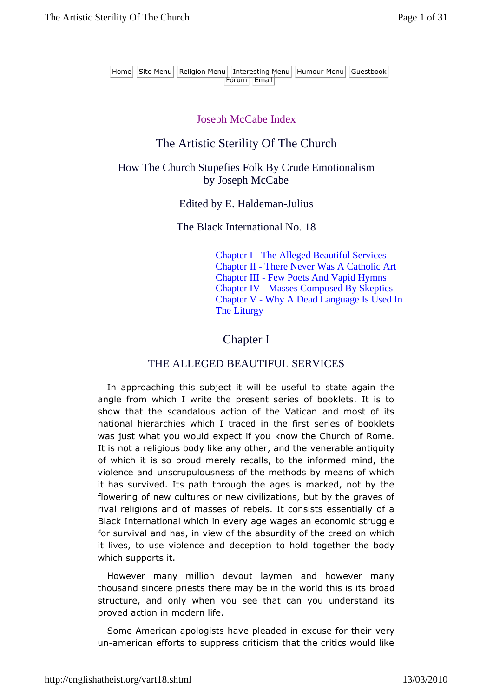Home Site Menu Religion Menu Interesting Menu Humour Menu Guestbook Forum Email

#### Joseph McCabe Index

### The Artistic Sterility Of The Church

#### How The Church Stupefies Folk By Crude Emotionalism by Joseph McCabe

Edited by E. Haldeman-Julius

The Black International No. 18

Chapter I - The Alleged Beautiful Services Chapter II - There Never Was A Catholic Art Chapter III - Few Poets And Vapid Hymns Chapter IV - Masses Composed By Skeptics Chapter V - Why A Dead Language Is Used In The Liturgy

### Chapter I

#### THE ALLEGED BEAUTIFUL SERVICES

In approaching this subject it will be useful to state again the angle from which I write the present series of booklets. It is to show that the scandalous action of the Vatican and most of its national hierarchies which I traced in the first series of booklets was just what you would expect if you know the Church of Rome. It is not a religious body like any other, and the venerable antiquity of which it is so proud merely recalls, to the informed mind, the violence and unscrupulousness of the methods by means of which it has survived. Its path through the ages is marked, not by the flowering of new cultures or new civilizations, but by the graves of rival religions and of masses of rebels. It consists essentially of a Black International which in every age wages an economic struggle for survival and has, in view of the absurdity of the creed on which it lives, to use violence and deception to hold together the body which supports it.

However many million devout laymen and however many thousand sincere priests there may be in the world this is its broad structure, and only when you see that can you understand its proved action in modern life.

Some American apologists have pleaded in excuse for their very un-american efforts to suppress criticism that the critics would like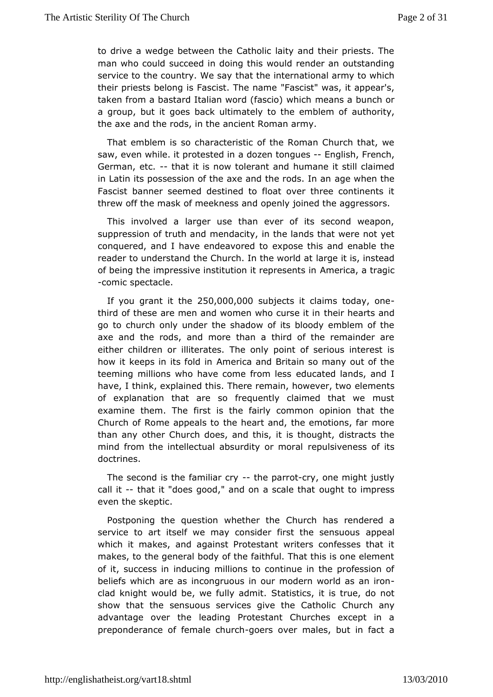todrive a wedge between the Catholic laity and their priests. man who cosulucceed in doing this would render an outstanding service to the country.thMale tshaey international army to which their priests belong is Fascist FaT shoes in the moves, it appear's, taken from a bastard Italian word (fraesacriss) aw build for a group, but it goes back ultimately to ahue hemibyem of the axe and the rods, in the ancient Roman army.

That emblem soischaracteristic of the Roman Church that, we saw, even while. it proted bezot nntongues glish, French, German, etcthat it is now toleranutmanme it still claimed in Latin its possession of the axe and atome who es. the an Fascist banner seemed destined to float over three contine threw off the mask of meekness and openly joined the aggress

Thisinvolved a larger use than ever of its second weapon, suppression of trumhemachadcity, in the lands that were not yet conquered, and I have endeaxpose to is and enable the reader to understand the Church. In athrope with its at stead of being the impressive institution iAmeepiesenat strangic -comic spectacle.

If you grant it 2500000,000 bjects it claims today, one third of these are men and women who becture see aitsimand go to church only under the shadow of its bloody emblem of axe and the rods, and more than a third of the remainder either childreinliderates. The only point of serious interest i how it keeps in its Afmoledricna and Britain so many out of the teeming millions who have comeeducanted skands, and I have, I think, explained this. There remaime, emergence where r, two of explanation that are so frequently claimed that we m examinehem. The first is the fairly common opinion that the Church of Rome appthed shit and, the emotions, far more than any other Church does, and thious, hit distracts the mind from the intellectual absurdity pulsimemalss of its doctrines.

The second is the fam-ilthepoarry outry, one might justly call it that it "does good," and on a osconalte to ham press even the skeptic.

Postponing the question whether the as rendered a service to art itself we may consider firsappheealsensuous which it makes, and against Protestant writers confesses th makesto the general body of the faithful. That this is one eler of it, succesiadiuncing millions to continue in the profession of beliefs which aire coarsgruous in our modern world as an iron clad knight would be, we fussity at a strime that it is true, do not show that the sensuous services give Chhuer Chatholic advantage over the leading Protestant Churches except i preponderance of femalegooch stook er males, but in fact a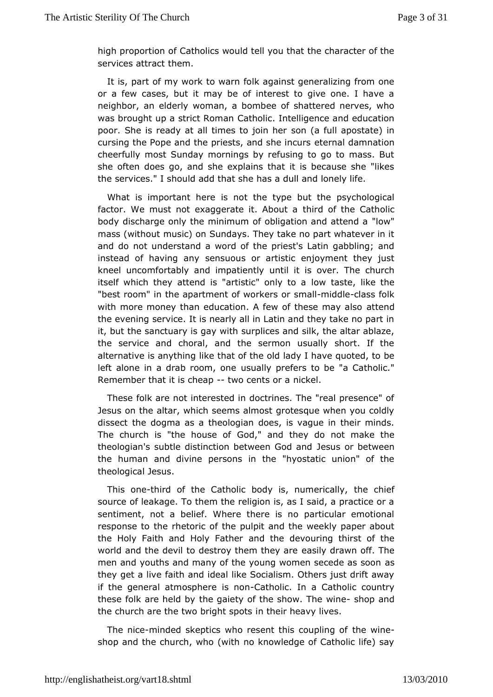high proportifo $\Omega$  atholics would tell you that the character of the services atthements.

It is, part of my work to warn folk against generalizing from ora few cases, but it may be of interest to give one. I have neighbor, ealwerly woman, a bombee of shattered nerves, who was brought up a strict Retchmobing. Intelligence and education poor. She is ready at all timess to joainfull erapostate) in cursing the Pope and the priests, and the manumation cheerfully most Sunday mornings by refusing to go to mass. she often does go, and she explains that it is because she the servic esshould add that she has a dull and lonely life.

What is importantisherret the type but the psychological factor. We must not exaggerate thir about the Catholic body discharge only the minimum of obligatidowa"nd attend a mass (without music) on Sundays. They take no part whatever and doot understand a word of the priest's Latin gabbling; and instead of havingseanswous or artistic enjoyment they just kneel uncomfortably and impratilenttlis over. The church itself which they attend is "artist**ic**" dasytetoliske the "best room" in the apartment of swingark head lover lass folk with more money than education. A few of antesened may also the evening service. It is nearly all in Latin and they take no it, but the sanctuary is gay with surplices and silk, the altar the service and choral, and the sermon usually short. If t alternative is an witheint ghat of the old lady I have quoted, to be left alone in a drab roomyably eprefers to be "a Catholic." Remember that it is-chweeapcents on icakel.

These folk are not interested in doctrines. The "real presen Jesus on the altar, which seems almost grotesque when you do dissect tohoegma as a theologian does, is vague in their mind The church is "the ho Guosone", "o fand they do not make the theologian's subtle distinction between ans God band ween the human and divine persons in the "hyostatic union" of theological Jesus.

This onthird of the Catholic body is, numerically, source of leakage. To them the religion is, as I said, a practi sentiment, not a belief. Where there is no particular emot response to rtheetoric of the pulpit and the weekly paper about the Holy Faith and HolyanFdattheer devouring thirst of the world and the devil to destroy the ansithly egira wen off. The men and youths and many of the young womenassecede as soon they get a live faith and ideal like Socialism. Others just drif if thegeneral atmosphere-Cathohic. In a Catholic country these folk are hethole bayaiety of the show. - Tshheo pwina med the church are the two briighthepothseavy lives.

The ni-meinded skeptics who resent this the unplinned of shop and the church, who (with no knowledge of Catholic life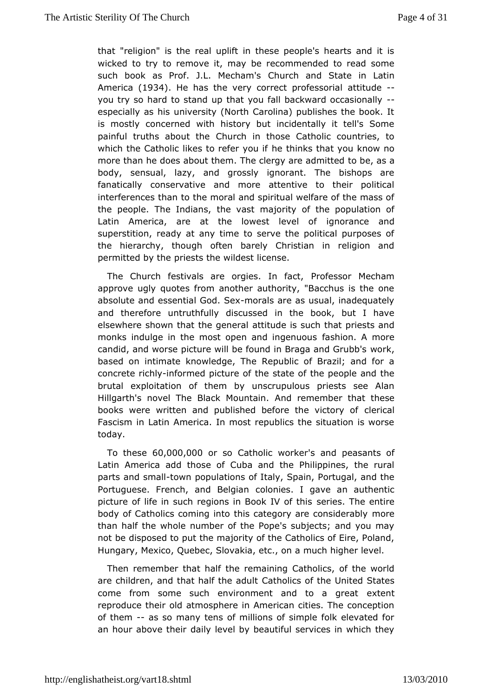that"religion" is the real uplift in these people's hearts and wicked to toyremove it, may be recommended to read some such book as Prof. J.L. MC that m's and State in Latin America 934. He has the very correct propresional you try so hard to stand up that you fall backward occasiona especially as his university (North Carolina) publishes the b is mostby oncerned with history but incidentally it tell's Sor painful truths abouth the those Catholic countries, to which the Catholic likes to meefet in indevisiting that you know no more than he does about them. The clergty abree, and maitted body, sensual, lazy, and grossly ignorant. The bishops fanatically conservative and more attentive to their poli interferent es the moral and spiritual welfare of the mass the people. The Inthians ast majority of the population of Latin America, are at the lowestigh even cent and superstition, ready at any time to serve the political purpos the hierarchy, though often barely Christian in religion permitted by ptrhiests the wildest license.

The Church festivals are orgie Professact, Mecham approve ugly quotes from another authority, "Bacchus is the absolute and essential - Goodal Seare as usual, inadequately and therefourmetruthfully discussed in the book, but I have elsewhere shown that the attentured is such that priests and monks indulge in the most open andashigoem.ucAusmore candid, and worse picture will be found in Bwagaa, and Grubb's based on intimate knowledge, The Republic of Brazil; and  $\dagger$ concretechlynformed picture of the state of the people and th brutal exploitaction hem by unscrupulous priests see Alan Hillgarth's novel The Black AM dumean ember that these books were written and published before ctleerioxactory of Fascism in Latin America. In most republics the situation is today.

To thes 6e0,000,000 so Catholic \so a knedr peasants of LatinAmerica add those of Cuba and the Philippines, the ru parts and s-thoaw Inpopulations of Italy, Spain, Portugal, and the Portuguese. French, and colonies. I gave an authentic picture of life in such regions in BsoenkielsV. The hes ntire body of Catholics coming into this category macree considerably than half the whole number of the Pope's subjects; and you not beisposed to put the majority of the Catholics of Eire, Po Hungary, MexQcome, bec, Slovakia, etc., on a much higher level.

Then remember thatthbal the maining Catholics, of the world are children, and that halfCtahtehoaldousltof the United States come from some such environment and extent great reproduce their old atmosphere in American cities. The conce of them-as so many tens of millions of simple folk elevated an hour above daelly level by beautiful services in which they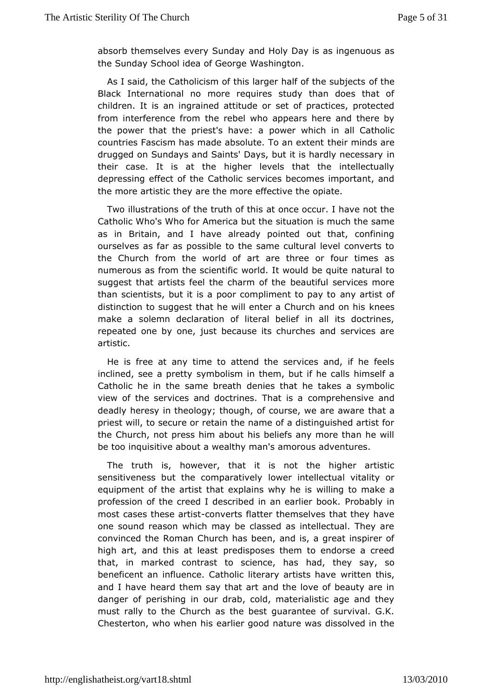absorb themselves every a Soun Holonal Day is as ingenuous as the Sunday School idea of a Geomaton.

As I said, the Catholicism of this larger haolff tchfethe subjects Black International no more requires study than does that children. is tan ingrained attitude or set of practices, protect from interferencetheomebel who appears here and there by the power that the priest's pohymere: wahich in all Catholic countries Fascism has made absoluteth bor annimedest eante drugged on Sundays and Saints' Days, but it is nhardly necess their case. It is at the higher levels that the intellectu depressing frect of the Catholic services becomes important, a the more artisticant the more effective the opiate.

Two illustrations of the trathop tethois cur. I have not the Catholic Who's Who for America butisthreussitut anteiosname as in Britain, and I have already pointed out that, confi ourselves as far as possible to the same cultural level convert the Churchom the world of art are three or four times as numerous as from the swoorhdific would be quite natural to suggest that artists feel the charm to the three ryices more than scientists, but it is a poor compliameyntatto spacyf to distinction to suggest that he will enter a Ckhueresh and on his make a solemn declaration of literal belief in all its doct repeated he by one, just because its churches and services and artistic.

He isfree at any time to attend the services and, if he feel inclined, see a pyentoplism in them, but if he calls himself a Catholic he in the samedebries aththat he takes a symbolic view of the services and doctrinecsom Tohreheiss ave and deadly heresy in theology; though, of coursteh, a we are aware priest will, to secure or retain the name of a distinguished ar the Church, not press him about his beliefs any more than h be tomquisitive about a wealthy man's amorous adventures.

The truth insqwever, that it is not the higher artistic sensitiveness but the complawathivellectual vitality or equipment of the artist that explain will why the misake a profession of the creed I described in  $\mathbb P$ robaardierinbook. most cases these contivents flatter themselves that they have one sound reason which may be classed as intellectual. The convinced Rhoman Church has been, and is, a great inspirer o high art, and this aptreedasposes them to endorse a creed that, in marked contrast to scineande, thheays say, so beneficent an influence. Catholic literawnyit tagnist this have and I have heard them say that art and the love of beauty a danger of perishing in our drab, cold, materialistic age and must rally the Church as the best guarantee of survival. G.K. Chesterton, who whean hies good nature was dissolved in the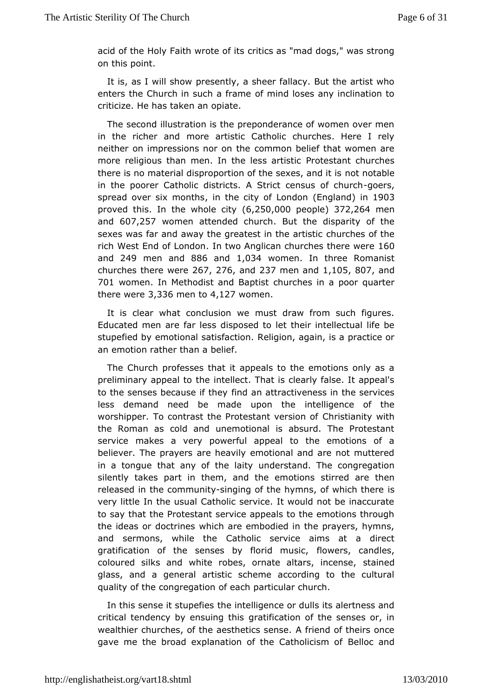acid of the Holy Faith wrorteicos as "mad dogs," was strong on this point.

It is, as I will partes wently, a sheer fallacy. But the artist who enters the Church in such famiram boses any inclination to criticize. He has taken an opiate.

Thesecond illustration is the preponderance of women over r in the richer made artistic Catholic churches. Here I rely neither on impressions nocommothe belief that women are more religious than men. In the Perssteatainsttichurches there is no material disproportion of thense whech a hed it is in the poorer Catholic districts. A Strict components of church spread over six momthhse city of LonEndon and n 1903 proved this. then whole  $q(t, y250,0000 e$  ople  $372,264$  men and607,257 women attended chaurth the disparity of the sexes was far and away the greatest cimutbe exact this rich West End of Llomdwo Anglican churches the 60e were and 249 men and 86 and 1,034 womenin three Romanist churches there  $2\nu$ 6 $\vec{e}$ ,  $\vec{e}$  76 and 237 men and, 10,5807 and 701 womenIn Methodist and Baputrisshes in a poor quarter there  $w e 3 e 336$  men  $t \triangleleft$ , 127 $w o m e n$ .

It isclear what conclusion we must draw from such figure Educated men are fais beossed to let their intellectual life be stupefied by emotional safiefaction. again, is a practice or an emotion rather than a belief.

TheChurch professes that it appeals to the emotions only a preliminary appeal tiontellect. That is clearly false. It appeal' to the senses because ind the vattractiveness in the services less demand need be made uprotrelltgence of the worshipper. To contrast the Protest aCrhtrivse rasiony or ith the Roman as cold and unemotional is absurd. The Protes service makes a very powerful appeal to the emotions of believer. The pranyee rhseavily emotional and are not muttered in a tongue that any of tumedelesitand. The congregation silently takes part in them, and thseire end thaores then released in the comsninging of the hymns, of whisch there very little In the usual Catholic service. It would not be inac to say hat the Protestant service appeals to the emotions thro the ideasdonctrines which are embodied in the prayers, hymns and sermons, while Catheolic service aims at a direct gratification of the senses by flor modem susiccandles, coloured silks and white robes, ornate asttainsedincense, glass, and a general artistic scheme according to the cul qualityof the congregation of each particular church.

In this sense it stupe filmetselligence or dulls its alertness and critical tendency by ensquiagiftbastion of the senses or, in wealthier churches, of the aesthet fircisens denouse theirs once gave me the broad explanation of the Bathoodicains on of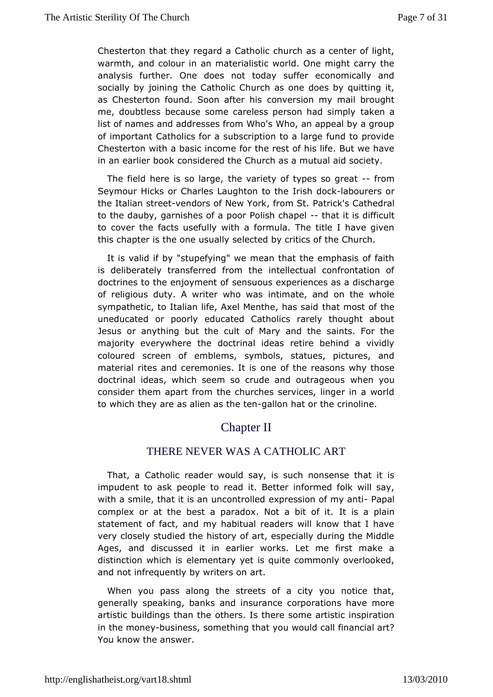Chesterton that they regard a Catholic church as a center of warmth, and colour in an materialistic world. One might carr analysifsurther. One does not today suffer economically an socially by joinince the the Church as one does by quitting it. as Chesterton found. Sooncanter shigh my mail brought me, doubtless because some careless persaoknem and simply list of names and addresses from Who's Who, an appeal by a ofimportant Catholics for a subscription to a large fund to pr Chestertwith a basic income for the rest of his life. But we have in an earlier  $\phi$  on postidered the Church as a mutual aid society.

The field here is sothlear geer, jety of types so foromat Seymour Hicks or Charles Laughrtish to the Moscurers or the Italian s-twee redors of New York, Pramin Skt's Cathedral to the dauby, garnishes of a poor <del>P</del>othiasth its health cult to cover the facts usefully with a formula. The title I have this chapter is the one usually selected by critics of the Chur

It is alid if by "stupefying" we mean that the emphasis of  $f_i$ is deliberateay afferred from the intellectual confrontation of doctrines to the enjoysmeen ratuous experiences as a discharge of religious duty. A writer inwthim aweas and on the whole sympathetic, to Italian life, Axel Mentabe, mbas saitche  $u$ neducated or poorly educated Catholics rarely thought al Jesus or anything but the cult of Mary and the saints. For majoritgverywhere the doctrinal ideas retire behind a vivid coloured screenem obflems, symbols, statues, pictures, and material rites and ceremonoiress of tthse reasons why those doctrinal ideas, which seem so crude awdeautroaugeous consider them apart from the churches services, linger in a towhich they are as alien agsalthom the ant or the crinoline.

# Chapter II

## THERE NEVER WAS A CATHOLIC ART

That, Gatholic reader would say, is such nonsense that it impudent to ask peorpelæd tot. Better informed folk will say, with a smile, that it is an unexpnet sostiloend of m-y Paptal complex or at the best a paradox. Noltt as bat polaint. statement of fact, and my habitual readers will know that I very closely studied the history of art, especially during the Ages, and iscussed it in earlier works. Let me first make distinction which is not ary yet is quite commonly overlooked, and not infrequently by warritters on

When you pass along the streets of a city you notice that generals peaking, banks and insurance corporations have mo artistic buildings than the ls there some artistic inspiration in the monbeuy siness, somethiny op uthwanduld call financial art? You know the answer.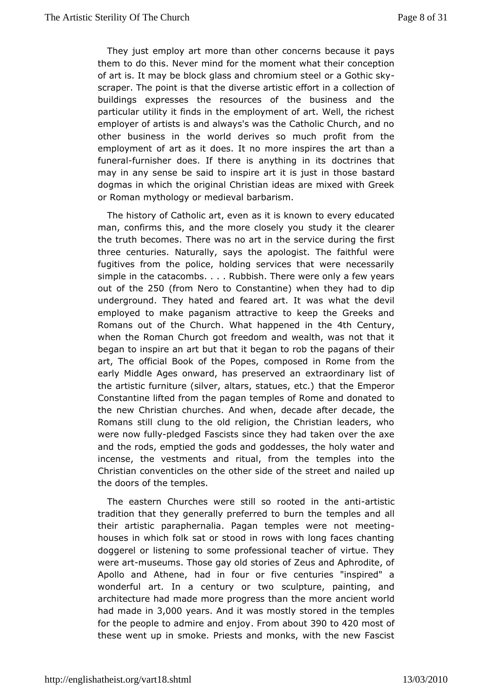They just emplow paret than other concerns because it pays them to do this. Never minndofroenth what their conception of art is. It may be block glass and cohrroam Guomhisctesekly scraper. The point is that the diverse actoishtection of in a buildings expresses the resources of the business and particular utility it finds in the employment of art. Well, the employ of artists is and always's was the Catholic Church, and other business in wothed derives so much profit from the employment of art as it does. In spores and than a funer af urnisher does. If there is anythologion in mesits hat may in any sense be said to inspire art itbass tiaured in those dogmas in which the original Christian ideas are mixed with orRoman mythology or medieval barbarism.

The history of Catholic as rit eise known to every educated man, confirms this, and the more solucdsyelly yhou clearer the truth becomes. There was no art in the heat instruiste during three centuries. Naturally, says the apologist. The faithful fugitives from the police, holding services that were neces simple in the acombs. . . . Rubbish. There were only a few years out of the 0 (from Neto Constantine) when they had to dip underground. They hated and feawas what Ithe devil employed to make paganism attractive to keep the Greeks Romans out of the . $CW$  bach happened in the  $\epsilon$  entury when the RomCahnurch got freedom and wealth, was not that it began to inspire an artibubteghant to rob the pagans of their art, The official Book of the mpoped, in Rome from the early Middle Ages onward, has peexstearoreddinaanry list of the artistic furniture (silver, altars, the attames Emerope nor Constantine lifted from the pagan temples of Rtome and donat the new Christian churches. And when, decade after decade Romans stillung to the old religion, the Christian leaders, who were now f-polleydgeFdascists since they had taken over the axe and the rods, emptied the goodddse asseds, the holy water and incense, the vestments and ritualtemindens threto the Christian conventicles on the other side on aithered surpreet and the doors of the temples.

The eastern Churches wereoeteld so the arthistic tradition that they generally preferred emples and hell their artistic paraphernalia. Pagan tempolestiwere not houses in which folk sat or stood in rows with long faces chanting doggerel or listening to some professional teacher of virtue. wereartmuseums. Those gay old stories of Zeus and Aphrodite, Apollo and Athead, in four or five centuries "inspired" a wonderful art. In a century scoulptwoe, painting, and architecture had made more progress tahnachiethate who or the had made 3,000 Oyears And it was mostly stored in the temples for the people to admire  $a$  - Find the naid  $b$  political  $20$  most of these wentin psmoke. Priests and monks, with the new Fascis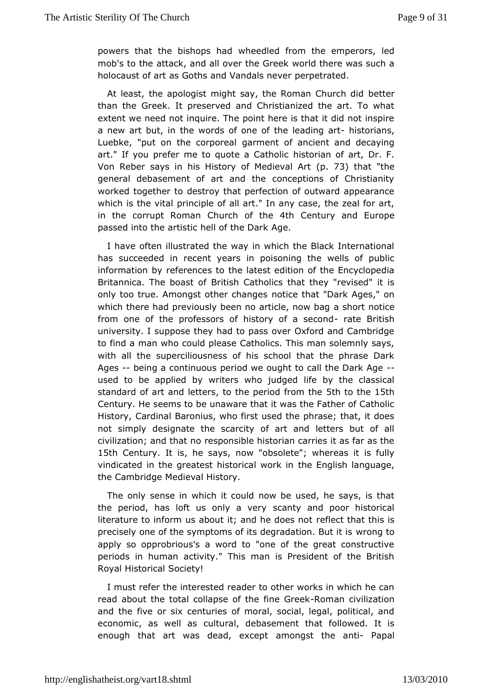powers that the bishows heeled ded from the emperors, led mob's to the attack, and all ovew outhel Ghreeneek was such a holocaust of art as Goths and Vandadsratever.

At least, the apologist might say, the Romette Church did than the Greek. It preserved and Christianized the art. To extent we ed not inquire. The point here is that it did not insp a new art butt, hoenwords of one of the leahdising grianmus, Luebke, "put on the corporoment of ancient and decaying art." If you prefer me to quote has to at a plice fart, Dr. F. Von Reber says in his History of Moed Be vaat A "the general debasement of art and the conceptions of Christia workedogether to destroy that perfection of outward appearar which is the pritatiple of all art." In any case, the zeal for ar in the corrupt RoCmhaunch of the Century and Europe passed into the artistic hell Andethe Dark

I have often illustrated the way in which the Black Internat hassucceeded in recent years in poisoning the wells of pu informationrefverences to the latest edition of the Encycloped Britannica. The boBarsitisoli Catholics that they "revised" it is only too true. Amongst othenocthemengtes at "Dark Ages," on which there had previously been no araishegrhomoutboag from one of the professors of history ratea Bsetdshd university. I suppose they had to pass over Oxford and Camb to find a mwahno could please Catholics. This man solemnly say with all the perciliousness of his school that the phrase Da Ages-being a continuous but we ought to call the Dark Age used to be applied by writers wihfoe jouydgtehoe classical standard of art and detteesperiod from the the 15th Century. He seems to be unaware that it was the Father of Ca History, Cardinal Baronius, who first used the phrase; that, i not simply esignate the scarcity of art and letters but of a civilization; and the asto no sible historian carries it as far as the 15th Centurlyt ishe saysnow"obsolete"; whereas it is fully vindicated in the greatest historticeal Ewgriks hinlanguage, the Cambridge Medieval History.

The only senswehich it could now be used, he says, is that the period, has loft us only caanty eraynd poor historical literature to inform us about it; and elfel be dote is anothis is precisely one of the symptoms of its degravdation but it is apply so opprobrious's a word to "one of the great constru periodisn human activity." This man is President of the Brit Royal HistoSiccailety!

I must refer the interested reader to other works in which  $h \in$ read about the total collapse of the eominane Give bikation and the fiorresix centuries of moral, social, legal, political,  $\epsilon$ economic, as we tulausral, debasement that followed. It is enough that art was dead, ame angst the - a Papal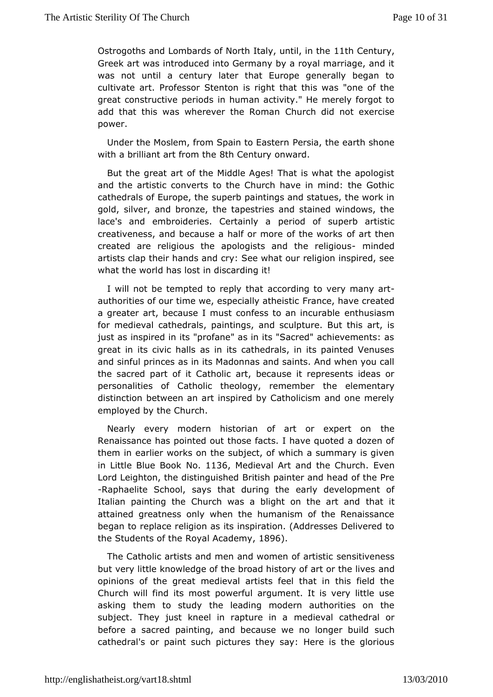Ostrogoths and Lombards of North Ital Vith  $\alpha$  eln turry the Greek art was introduced into Germany by a royal marriage, and was not until a century later that Europe generally begar cultivate aPritofessor Stenton is right that this was "one of the great constructive perhoudmsan activity." He merely forgot to add that this was wherever the unround add not exercise power.

Under the Moslem, from Spain Ptor Eigastehre earth shone with a brilliant art f&tohm Ctohnetuorn ward.

But the great art of the Middle Ages! That is what the apol and the artistic converts to the Church have in mind: the G cathedral $\boldsymbol{\epsilon}$  of ope, the superb paintings and statues, the work gold, silver, and bthoenzepestries and stained windows, the lace's and embroideries. Cepretaiiondly of superb artistic creativeness, and because a half or more afttheeworks created are religious the apologists and mindedeligious artists clap their hands and cry: See what our religion inspire what theorld has lost in discarding it!

I will not be tempted to rapty ruhing to very many art authorities of our time we, especFarlal p caet, h be as the created a greater art, because I must confess teontahnusinacsumable for medieval cathedrals, paintings, and sculpture. But this  $i$ just as inspired in its "profane" as in its "Sacred" achieveme great ins civic halls as in its cathedrals, in its painted Ven and sinful prianscess its Madonnas and saints. And when you cal the sacred part of it **C**rathobic ause it represents ideas or personalities of Catholic theologythere reterm been tary distinction between an art inspired by Catholicism and one m employed by the Church.

Nearly every modern historian of art otheexpert on Renaissance has pointed out those facts. I have quoted a do: them inarlier works on the subject, of which a summary is given in Little Blue BBoodk136 Medieval Art and the Ebheumch Lord Leighton, the distime giulish epdainter and head of the Pre -Raphaelite School, says that daringdewelopment of Italian painting the Church was a blight  $\phi$  mathiet art and attained greatness only when the humanism of the Renaissance began to place religion as its inspiration. (Addresses Delivere the Students of  $R$  of  $\phi$  al Academ  $\theta \in \mathbb{R}$ .

The Catholic artists and men and womsens of the arthesistic but very little knowledge of the broad history and art or the live opinions of the great medieval artists feel that in this fiel Churchwill find its most powerful argument. It is very little asking them to stthuedy leading modern authorities on the subject. They just kneel in rapmteudiee visal acathedral or before a sacred painting, and because we suchonger build cathedral's or paint such pictures they say: Here is the glo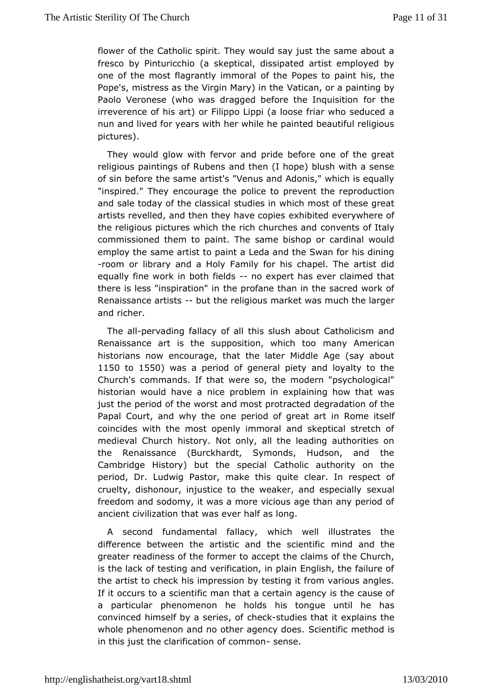flower bite Catholic spirit. They would say just the same about fresco by Pintur(acbkoeptical, dissipated artist employed by one of the most flagrantly of mthe rabpes to paint his, the Pope's, mistress as the Virgin Whative and other painting by Paolo Veronese (who was dragged before forre the quisition irreverence of his art) or Filippo Lippi (a loose friar who sed nun and lived for years with her while he painted beautiful re pictures).

They would glow with fervor and pride before one of the g religious paintings of Rubens and then (I hope) blush with a of sin beftchree same artist's "Venus and Adonis," which is equa "inspired." Tehex purage the police to prevent the reproduction and sale today of the stadise sailn which most of these great artists revelled, and then they chan bit the point serve here of the religious pictures which the rich comhweahse sofant baly commissioned them to paint. The same bishop or cardinal w employ the same artist to paint a Leda and the Swan for his dining -room olnibrary and a Holy Family for his chapel. The artist equally fine wobrok thin fields on expert has ever claimed that there is less "inspirahieom" diane than in the sacred work of Renaissance artbatts the religmeaut set was much the larger and richer.

The aplervading fallacy thoifs as lush about Catholicism and Renaissance art is the suppositionmawhich to the biccan historians now encourage, that the later Middle Age (say a 1150 to1550) was a period of general piety and loyalty to the Churchts mmands. If that were so, the modern "psychological" historian would havee aproblem in explaining how that was just the period of the worstpaont characted degradation of the Papal Court, and why the one periodinof Rgmeeatitsset of coincides with the most openly immoral and skeptical stretc medieval Church history. Not only, all the leading authorities the Renaissance (Burckhardt, Symonds, Hudson, and the Cambridge History) bupethel Catholic authority on the period, Dr. Ludwig Pastor, makecleras. quitree spect of cruelty, dishonour, injustice to the weakersexuallespecially freedom and sodomy, it was a more vicious age than any peri ancientivilization that was ever half as long.

second fundamental foahliachy, well illustrates the difference between the artistic and mhind same thing greater readiness of the former to accept the claims of the C is the lack of testing and verification, in plain English, the failure theartist to check his impression by testing it from various ar If it occuosa scientific man that a certain agency is the cause a particul<sub>l</sub>amenomenon he holds his tongue until he has convinced himself by a scencie-situndfies that it explains the whole phenomenon and no other a  $\beta$  enery tidio cess method is in this just the clarification  $s \notin \mathfrak{g}$  common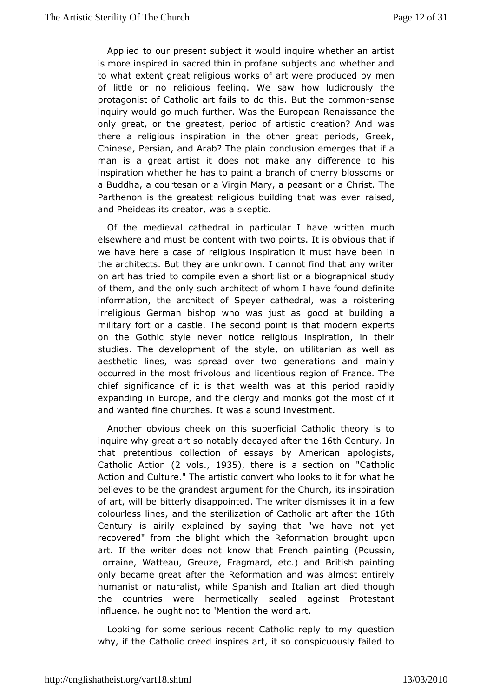Applied to our present subject it would inquire whether an is more inspired in sacred thin in profane subjects and wheth to whaetxtent great religious works of art were produced by m of little or rebigious feeling. We saw how ludicrously the protagonist of Catholictoard of athiss. But the esemmsen inquiry would go much further. Was Rheen aEius iscaphecaen the only great, or the greatest, period of artistweascreation? And there a religious inspiration in the other great periods, G Chines Persian, and Arab? The plain conclusion emerges that man is a great attics des not make any difference to his inspiration whether he has doapahnofacherry blossoms or a Buddha, a courtesan or a Virgin Maorrya aChpreiastanTthe Parthenon is the greatest religious building tisheadt, was ever and Pheideas its creator, was a skeptic.

Of the medieval catimedor anticular I have written much elsewhere and must be content with tiwsoop wipus. that if we have here a case of religious inspiratibone intimust have the architects. But they are unknown. I cannot find that any  $y$ onart has tried to compile even a short list or a biographical of them, at the only such architect of whom I have found definit information, the archit supeyer cathedral, was a roistering irreligious German bishop who woposoduat **bs**ilding a military fort or a castle. The second point ipethat modern on the Gothic style never notice religious inspiration, in studies. The development of the style, on utilitarian as we aestheticnes, was spread over two generations and mainly occurred in the most faindollous and in an and France. The chief significance of it is that awetahlitsh pwearsiod rapidly expanding in Europe, and the clergy and most aks fight the and wanted fine churches. It was a sound investment.

Anotheobvious cheek on this superficial Catholic theory is inquire why great naortta boly decayed aft Goth the ntuin that pretentious collection dofy exematy is an apologists, Catholic  $Ac(2 \circ \text{Nol}, s 1935,$  there is a section  $\text{C}$  adholic Action and Culture." The artistic convert who looks to it for w believes to be the grandest argument for the Church, its inspi of artwill be bitterly disappointed. The writer dismisses it in  $i$ colourle s and the sterilization of Catholic 166 rh after the Century is airxipylained by saying that "we have not yet recovered" from the blight wRheifoohrmtahteion brought upon art. If the writer does not know that  $F(r)$  encodes spainting Lorraine, Watteau, Greuze, Fragmard, etc.) and British pai onlybecame great after the Reformation and was almost entir humanist maturalist, while Spanish and Italian art died though the countries wheeremetically sealed against Protestant  $influence$ , he ought not to 'Mwe $orct$  coart. he

Looking for some serious recent Catholic reply to my quest why, if the Catholic creed inspires art, it so conspicuously  $f_i$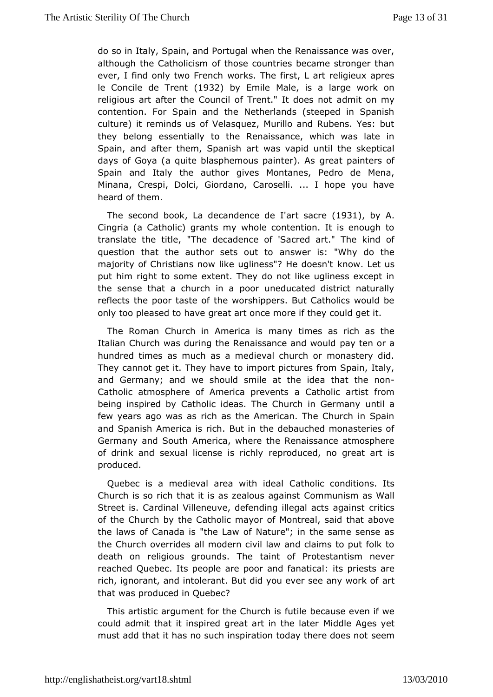do so Inaly, Spain, and Portugal when the Renaissance was over although the atholicism of those countries became stronger tha ever, I find only two wForrek rsch The first, L art religieux apres le Concile de T1982 by EmilMale, is a large work on religious art after the Council of Trenad'm It does not contention. For Spain and the Netherlands (steeped in Spa culture) it reminds us of Velasquez, Murillo and Rubens. Ye they belongsentially to the Renaissance, which was late in Spain, and after them, Sordawizsh vapid until the skeptical days of Goya (a quite blasphemousgpaantea) intess of Spain and Italy the author gives Montanes, Pedro de Me Minana, Crespi, Dolci, Giordano, Caroselli. ... I hope you heard offiem.

The second bhakdecandence'ade sacre 931, by A. Cingri(a Catholic) grants my whole contention. It is enough translate the *t*ilthe, decadence of 'Sacred art." The kind of question that the author setes nsowed rtips: "Why do the majority of Christians now like uglines som  $\theta$  while entowers n't put him right to some extent. They do not like ugliness exce the sense that a church in a poor uneducated district natu reflects the poor taste of the worshippers. But Catholics would  $\vdash$ only too pleased togreat art once more if they could get it.

The Roman Church in Ammeaincya tiismes as rich as the Italian Church was during the Renaissapnacye tæmdow cauld hundred times as much as a medieval church or monastery The cannot get it. They have to import pictures from Spain, It and Germany; wedshould smile at the idea that the non Catholic atmosphere of America  $\Omega$  reatheonits artist from being inspired by Catholic ideas. The Chuun hilima Germany few years ago was as rich as the American. The Church in Spain andSpanish America is rich. But in the debauched monasterie Germany and SAmterica, where the Renaissance atmosphere of drink and sexual license eipsrordubeyd, no great art is produced.

Quebec is a medieval area  $\mathcal Q$  atthological conditions. Its Church is so rich that it is as ze Cabomumsuangi**sam** sats Wall Street is. Cardinal Villeneuve, defending ilbegtat sacts against of the Church by the Catholic mayor of Montreal, said that a thelaws of Canada is "the Law of Nature"; in the same sense the Church overaldersodern civil law and claims to put folk to death on religious grount baint The Protestantism never reached Quebec. Its people are poor ians dip faensatisicante rich, ignorant, and intolerant. But did you eveartsee any work that was produced in Quebec?

This artistic argument for the uCilheur to have even if we could admit that it inspired great and idrolleh adeseyet must add that it has no such inspiration tod set mere does not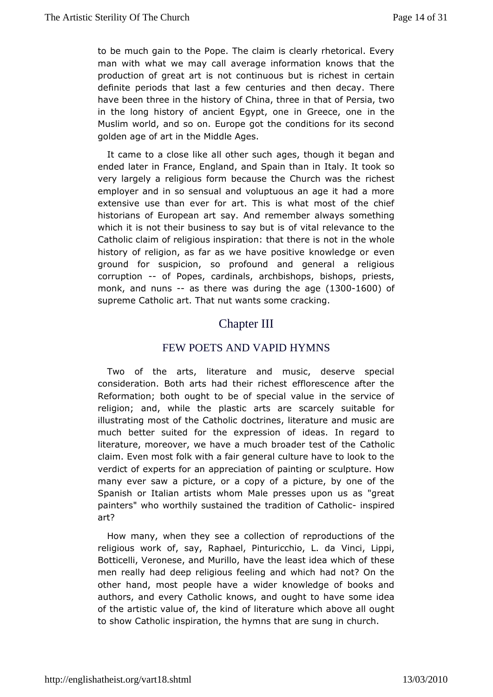to be much gain to the Pope. The claim is clearly rhetorical. manwith what we may call average information knows that t production of greiest mact continuous but is richest in certain definite periods that lasendufeews and then decay. There have been three in the history of ict himanat, oth reeversia, two in the long history of ancient Egypt, one im tGeeece, one Muslim world, and so on. Europe got the conditions for its s goldenage of art in the Middle Ages.

It came to a close like all **ages**, sluch and it began and ended later in France, England, and IS aplain It htam binso very largely a religious form because the Communesh was the employer and in so sensual and voluptuous an age it had a extensivuese than ever for art. This is what most of the chi historians of Europesan, a And remember always something which it is not their business toof syatyabut lies ance to the Catholic claim of religious inspiratiomotthrattheewe dise history of religion, as far as we have positieween knowledge or ground for suspicion, so profound and general a religi corruption of Popes, cardinals, archbishops, bishops, priests  $m$  onk, and nunas there wobusring the  $4.93e0.01600$  of supreme Catholic art. That nut own anothesingo.me

# Chapter III

## FEW POETS AND VAPIDHYMNS

Two of the arts, literature and music, deserve spec consideration. Both arts had their richest efflorescence after Reformatidom; th ought to be of special value in the service of religion; and, whilplatshted arts are scarcely suitable for illustrating most of the doathion leise literature and music are much better suited for the expression Inofregard to literature, moreover, we have a much broaddettholeiset of the claim. Even most folk with a fair general culture have to look verdict of experts for an appreciation of painting or sculpture. many evesaw a picture, or a copy of a picture, by one of the Spanish or Italian wahtoishts Male presses upon us as "great painters" who worthily susttariande dictime of Cationship cred art?

How many, when they see a corbilitepticochuctions of the religious work of, say, Raphael, PintuMinchioLipLpi, da Botticelli, Veronese, and Murillo, have the lehaessteidea which o men really had deep religious feeling and which had not? O othe hand, most people have a wider knowledge of books and authors, and e Qetholic knows, and ought to have some idea of the artistic value of, oth be takindure which above all ought to show Catholic inspiration, the arriev summis get has tchurch.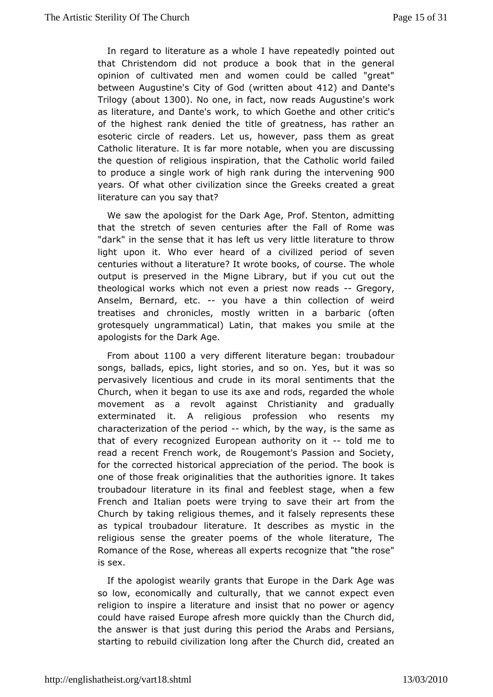In regard to literature as a whole I happen tepleatured by that Christendom did not produce a book that in the general opinion f cultivated men and women could be called "great between Augustine's CC od the off then about 20 and Danted by the United Sections 412 Trilog(gbout 300. No onen factowreads Augustine's work as literature, and Dante's work, to which the Groeth tecasnd of the highest rank denied the title of greatness, has rather esoteric circle of readers. Let us, however, pass them as Cathollicterature. It is far more notable, when you are discuss the question edifgious inspiration, that the Catholic world failed to produce a single fwho mock nank during the in $\theta$ e novening years. Of what other civilization G seeks created a great literature can you say that?

We saw tapologist for the Dark Age, Prof. Stenton, admittin that the stretch of cseen teunies after the Fall of Rome was "dark" in the sense that it has a left usliterature to throw light upon it. Who ever heard of paricoid iloted even centuries without a literature? It wrote book whole course. The output is preserved in the Migne Library, but if you cut ou theological works which not even a prie-sGregory eads Anselm, Bernættet,-- you have a thin collection of weird treatises and chronicles, wrint to shivin a barbaric (often grotesquely ungrammatical) Latin, thastmmilaekeast yhoeu apologists for the Dark Age.

From about 00a very differietature began: troubadour songs, ballads, epics, light storie yes, no usoito was so pervasively licentious and crude in its moral the entiments that Church, when it began to use its axe and rods, regarded the movementas a revolt against Christianity and gradually exterminated it. A relpigodession who resents my characterization of the  $\psi$  bidded by the weather same as that of every recognized European authord tyment of read a recent French work, de Rougemont's Passion and Soc for the correlots to hical appreciation of the period. The book i one of those foreight inalities that the authorities ignore. It take troubadour literature in in alites of feeblest stage, when a few French and Italian poets were satveint geto art from the Church by taking religious themes, reempote iste fratlssethyese as typical troubadour literature. It describes as mystic in religious sense the greater poems of the whole literature, Romance of Rbee, whereas all experts recognize that "the rose is sex.

If theapologist wearily grants that Europe in the Dark Age w so low, economiccradly culturally, that we cannot expect even religion to inspire a literiantsuirset ahmadt no power or agency could have raised Europe afresh morth quoch kuly chindind, the answer is that just during this period Pehseia Anrsa, bs and starting to rebuild civilization long after the Church did, crea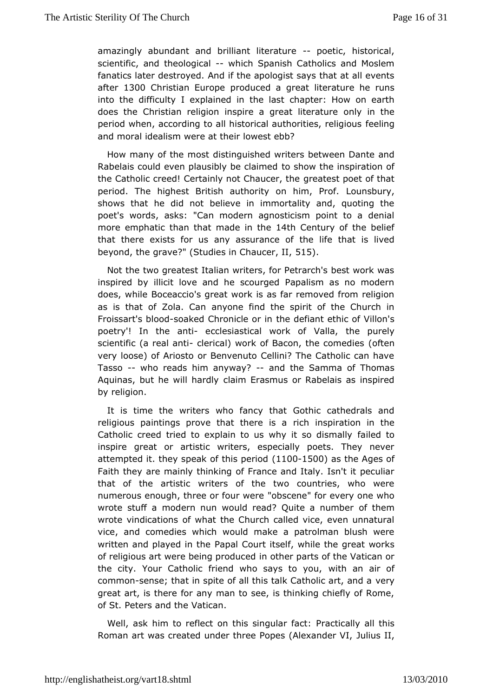amazingly abundant and brilliant-biotentadurbistorical, scientifam,d theologicalhich Spanish Catholics and Moslem fanatics later destrowed. The apologist says that at all events aften 300 Christian Eupopeuced a great literature he runs into the difficulty I explained cimapheer: labsotwon earth does the Christian religion inspire a gomelay tihit that ure period when, according to all historical autfrecerliitrigs, religious and moral idealism were at their lowest ebb?

How many of the chinsts inquished writers between Dante and Rabelais could even plausibly to be colavimated inspiration of the Catholic creed! Certainly not  $\alpha$  beat poet of that period. The highest British authority  $\Delta$  buhim, Prof. shows that he did not believe in immortality and, quoting poet'swords, asks: "Can modern agnosticism point to a deni more emphatic tham addet in theth Century of the belief that there exists for us any ast the life that is lived beyond, the grave?" (Studies in 5CH5)aucer, II,

Not the two greatest Italian writers, for Petrarch's best wor inspired by illicit love and he scourged Papalism as no modern does, whBloeceaccio's great work is as far removed from religi as is that of Zolaan Coame find the spirit of the Church in Froissart's beloaked Chronicle hoer defiant ethic of Villon's poetry'! In the anticulesiastical work alloaf, the purely scientific (a readlenitial) work of Bacon, the coft emedies very loose) of Ariosto or Benvenuto Cellini? The Catholic ca Tasso-who reads him anywand the Samma of Thomas Aquinas, but he will chaaimoll  $E$  rasmus or Rabelais as inspired by religion.

It is time the wwitheorsfancy that Gothic cathedrals and religious paintings prove that ruiclereins pination in the Catholic creed tried to explain to us why aites ot dismally inspire great or artistic writers, especially poets. They ne attempted they speak of this  $(\phi \oplus \phi)$  and  $\phi$  as the Ages of Faith thave mainly thinking of France and Italy. Isn't it pecul that of the artwortiteers of the two countries, who were numerous enough, three or 'fous cveenee" for every one who wrote stuff a modern nun would read? Q wiftethæmumber wrote vindications of what the Church called vice, even unna vice and comedies which would make a patrolman blush wer written and played **Aapthe Court itself**, while the great works of religious art were beinginproct**die** cepdarts of the Vatican or the city. Your Catholic friend who way's ao aonu of commosense; that in spite of all this talk Catheotyic art, and a great art, is there for any man to see, is thinking chiefly of of StPeters and the Vatican.

Well, ask him to reflect on this sPinagoutliacral flayctall this Roman art was created under three PopesJualilues and der VI,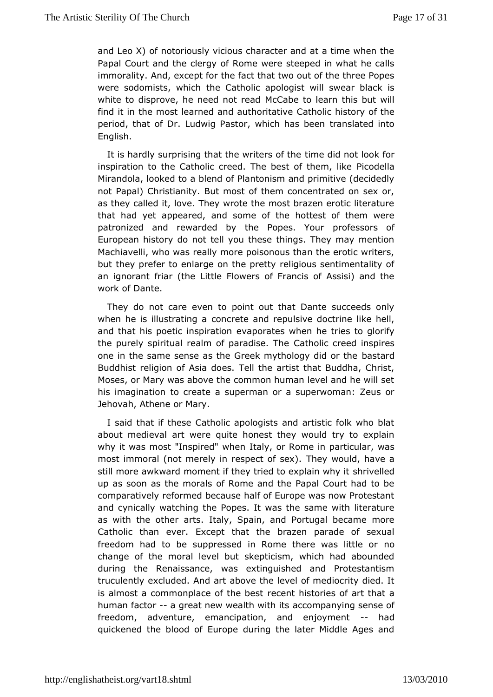and Leo X) of notoriously vicious character and at a time when Papal Court and the clergy of Rome were steeped in what he immoralit and, except for the fact that two out of the three Pop were sodomists, wheich atholic apologist will swear black is white to disprove, he need Mrc $\alpha$  abeead o learn this but will find it in the most learned and a Cuatth corliticathive tory of the period, that of Dr. Ludwig Pastor, whiah shatse de eindo English.

It is hardly surprising that the wtrimterdid into the look for inspiration to the Catholic creed. The best codet them, like Mirandola, looked to a blend of Plantonism and primitive (dec not Papal) Christianity. But most of them concentrated on se as they calted ove. They wrote the most brazen erotic literatu that had yet appeanned some of the hottest of them were patronized and rewarded by the Popeses sylorer of European history do not tell you these things. They may mer Machiavelli, who was really more poisonous than the erotic w but the prefer to enlarge on the pretty religious sentimentality an ignorant fittle Elowers of Francis of Assisi) and the work of Dante.

They doot care even to point out that Dante succeeds onl when he is illustration grate and repulsive doctrine like hell, and that his poetic insepviar polimentes when he tries to glorify the purely spiritual realm of paCrathole. The ed inspires one in the same sense as the Greek mythoblosty and id or the Buddhist religion of Asia does. Tell the artist that Buddha, Moses, or Mary was above the common human level and he will his imagination treate a superman or a superwoman: Zeus or Jehovah, Athene or Mary.

I said that if these Catholic apologists and artistic folk  $wh$ about mediearal were quite honest they would try to explain why it was most "Inspireld" alw heor Rome in particular, was most immoral (not merely in respector would, have a still more awkward moment if they tried to her weal endwhy it up as soon as the morals of Rome and the Papal Court had comparatively reformed because half of Europe was now Prote and cynicaw ay ching the Popes. It was the same with literatur as with the other Itaarltys,. Spain, and Portugal became more Catholic than ever. Except btrhazetenthparade of sexual freedom had to be suppressed in Rome thereowas little or change of the moral level but skepticism, which had abour during the enaissance, was extinguished and Protestantism truculently excluded. a Abrod earthe level of mediocrity died. It is almost a commonplace ofretcheen behastories of art that a human factoa great new wealth with interpring sense of freedom, adventure, emancipation, and -- ehadyment quickened the blood of Europe during the later Middle Ages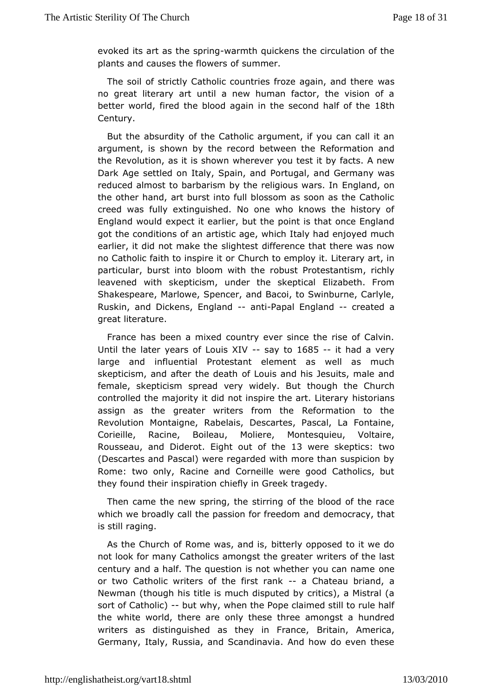evoked its attheassprinwarmth quickens the circulation of the plants and causes theoflowmenser.

The soil of strictly Catholic countries frozewagain, and thei no great literary art until a new human factor, the vision betteworldfired the blood again in the second & half of the Century.

Butthe absurdity of the Catholic argument, if you can call i argument, is show the record between the Reformation and the Revolution, as it ivshshowen you test it by facts. A new Dark Age settled on Italy, Spoaritnug and and Germany was reduced almost to barbarism by the reli<del>g</del>ing ussnow, arosn. In the other hand, art burst into full blossom as soon as the Ca creed was fully extinguished. No one who knows the histor England would  $\phi$  ect it earlier, but the point is that once Englar got the conditionsanot fisatic age, which Italy had enjoyed much earlier, it did not makie htthe est difference that there was now no Catholic faith to insophic erith to employ it. Literary art, in particular, burst into bloom whith the otestantism, richly leavened with skepticism, under the edized and Elizated Elizabeth. From Shakespeare, Marlowe, Spencer, and Bacoi, to Swinburne, Ca Ruskin, and Dickens, E-nagnibin alpal Englandreated a greatiterature.

France has been a mixed country ever since the rise of  $C\epsilon$ Until the later years of Losiasy Xd 085-- it had a very large and nfluential Protestant element as well as much skepticism, and after the deats and his Jesuits, male and female, skepticism spread very whidely. But Church controlled the majority it did not inspire hthe artian siterary assign as the greater writers from the Reformation to the Revolution montaigne, Rabelais, Descartes, Pascal, La Fontaine Corieille, Racine, BoMbdeiaure, Montesquieu, Voltaire, Rousse, a and Diderotight out of 1th awereskeptics: two (Descartes and Pascal) were regarded with more than suspici Rome: two only, Racine and Corneille were good Catholics, they found timesipiration chiefly in Greek tragedy.

Then came the new sprint grith one of the blood of the race which we broadly call the passion annimount of energodorum cy, that is still raging.

As the Church of Rome wab it beardly is, pposed to it we do not look for many Catholics amongswrithersgroefathe last century and a half. The question is not whether you can name or two Catholic writers of the-farsChaatelau briand, a Newmanthough his title is much disputed by critics), a Mistral sort of Catho-lbou)t why, when the Pope claimed still to rule hal the white world, theorelyartehese three amongst a hundred writers as distinguished as they Bimita Financemerica, Germany, Italy, Russia, and Scandinavia. And how do even t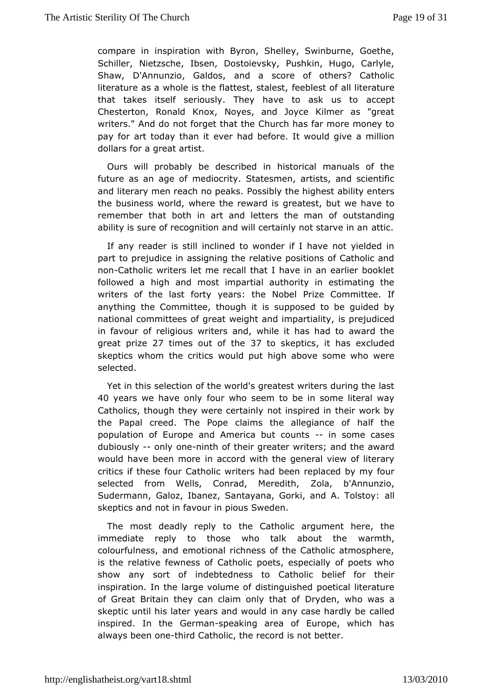compare in inspiration with Byron, Shelley, Swinburne,  $G$ oe SchilleNietzsche, Ibsen, Dostoievsky, Pushkin, Hugo, Carly Shaw, D'Annunzio, Gannidosa score of others? Catholic literature as a whole is the flatter estate of stall literature that takes itself seriously. They have two cassit us to Chesterton, Ronald Knox, Noyes, and Joyce Kilmer as "g writers." Admodnot forget that the Church has far more money to pay for art today tehwaenrihad before. It would give a million dollars for a great artist.

Ourswill probably be described in historical manuals of the future as an agree obifocrity. Statesmen, artists, and scientific and literary men reach no peaksly the highest ability enters the business world, where the greeaw to status we have to remember that both in art and letters outhstanmading of ability is sure of recognition and will certainal time ot starve in a

If any reader is still inclined to wonder if I have not yield part to prejudice in assigning the relative positions of Catho nonCatholic writers let me recall that I have in an earlier bo followed hagh and most impartial authority in estimating the writers of the lasty fartsy the Nobel Prize Committee. If anything the Committee, thosupphp disends to be guided by national committees of great weight and impartiality, in favour of religious writers and, while it has had to awar great pri2 e times out of 3th to skepticts has excluded skeptics whtchme critics would put high above some who were selected.

Yet in the selection of the world's greatest writers during the I 40 years we have fouly who seem to be in some literal way Catholics, though they werencete inasimily ed in their work by the Papal creed. The Pope claims the haallife gtihaence of population of Europe and America--biunt sometscases dubious-lyonly omeinth of their greater writers; and the award would have been im oaecord with the general view of literary critics if these four wathosidad been replaced by my four selected from Wells, Conrad, ZMbdaedith Annunzio, Sudermann, Galoz, Ibanez, Santayana, Gorki, a alnd A. Tolstoy skeptics and not in favour in pious Sweden.

The most deadly repthye tosatholic argument here, the immediate reply to those who talk a barmth, the colourfulness, and emotional richness of the Catholic atmost is theelative fewness of Catholic poets, especially of poets show any sortinodfebtedness to Catholic belief for their inspiration. In the large dostome union a poetical literature of Great Britain they can claim Domlyydetnh, atw bot was a skeptic until his later years and would in ame alce thardly be inspired. In the Gepmenashaling area of Europe, which has always becemethird Catholic, the record is not better.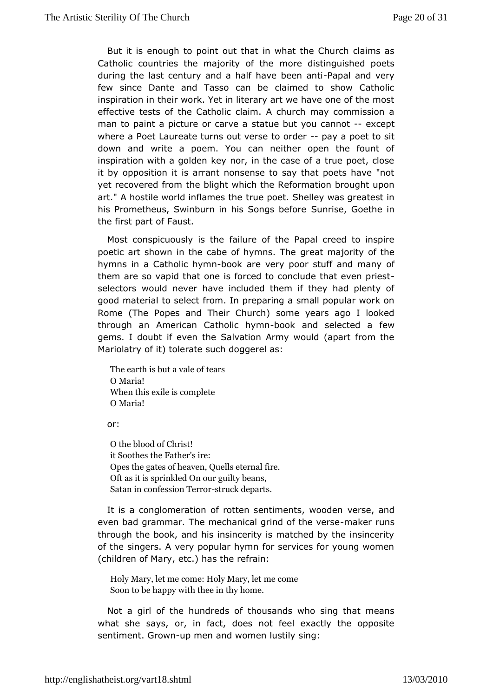But it is enough to upto that in what the Church claims as Catholic countries the majormtoreofdtheinguished poets during the last century and a half h- Papa and antifew since Dante and Tasso can be claimed to show Cath inspiration their work. Yet in literary art we have one of the m effective tests eofCatholic claim. A church may commission a man to paint a picture orstoaatuvee baut you canenxodept where a Poet Laureate turns out verpseyta procent o sit down and write a poem. You can neither open the fount inspiration with a golden key nor, in the case of a true poet, it byopposition it is arrant nonsense to say that poets have yet recovered finemblight which the Reformation brought upon art." A hostile world inflame pobe. Shelley was greatest in his Prometheus, Swinburn in his SSangrisbefocethe in the first part of Faust.

Most conspicuously failuthe of the Papal creed to inspire poetic art shown in the cabe of  $\phi$ nyemants malibeity of the hymns in a Catholieb bow mare very poor stuff and many them are so vapid that one is forced to conclude that even p selectows ould never have included them if they had plenty of good material to fsrowlength preparing a small popular work on Rome (The Popes and Theirs Commeur vears ago I looked through an American Catholbicco khyammed selectéed wa gems. I doubt if even the Salvation Army would (apart from Mariolatry to ft olerate such doggerel as:

The earth is butteaa  $\nu$ sale of O Maria! When this exile is complete OMaria!

or:

O the blood of Christ! it Sootthes Father's ire: Opes the gates of heaven, Quells eternal fire. Oft ats is sprinkled On our guilty beans, Satan in confessisoth ulcterparts.

It is a conglomeration of rotten sentiments, wandden even bad grammar. The mechanical grin**m ackfethreu we**rse through the book, and his insincerity is matched by the insin of theingers. A very popular hymn for services for young wom (children of  $M$ acy), has the refrain:

Holy Mary, let me come: hiel commery, let Soon to be happy with thee in thy home.

Not a giorfl the hundreds of thousands who sing that means what she says, or, ido exact feel exactly the opposite sentiment. Grown men and women suins gily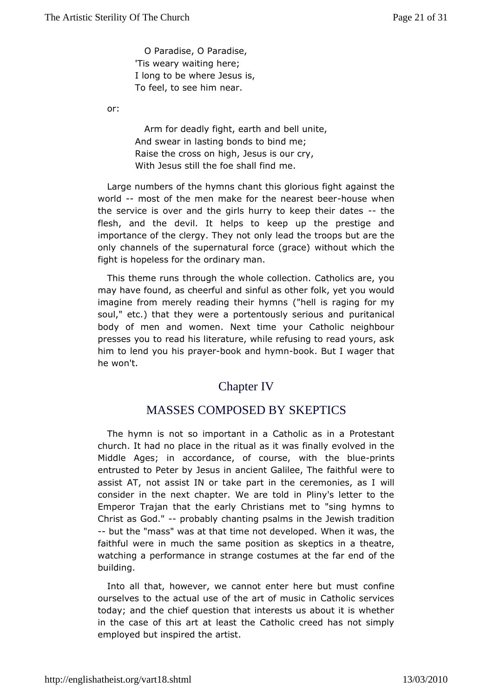O Paradise, O Paradise, 'Tis weary wahiteineg; I long to be where Jesus is, To feel, to see ehaim.

or:

Arm for deadly fight, ebeth unnide, And swear in lasting bonds to bind me; Raise the crossigon Jesus is our cry, With Jesus still the foemsehall find

Large numbers of the hymns chant this age biomisotus height world-most of the men make for the nehaoruesset brehem theservice is over and the girls hurry to keethe heir dates flesh, and the evil. It helps to keep up the prestige and importance of the clergy.  $\sigma$ Thip yierad the troops but are the only channels of the supernatural whithout gradeh the fight is hopeless for the ordinary man.

This theme rtuhmsugh the whole collection. Catholics are, you may have found, as chestiful and other folk, yet you would imagine from merely reading th(ethrelhy is nsaging for my soul," etc.) that they were a portentous ply risteami boursed and body of men and women. Next time your Catholic neighbc presses ytouread his literature, while refusing to read yours,  $\alpha$ him to lend yoprhayse book and hymnoon k. But I wager that he won't.

# Chapter IV

# MASSES COMPOSED BY SKEPTICS

The hymn nist so important in a Catholic as in a Protestan church. It had no placreitimal thas it was finally evolved in the Middle Ages; in accordance, owfithcouthsee, bluents entrusted to Peter by Jesus in anciental Ghalulle weer  $\overline{e}$  hteo assist AT, not assist IN or take part in the weltemonies, as consider in the next chapter. We are told in Pliny's letter 1 EmperoTrajan that the early Christians met to "sing hymns Christ as Go-ch "obably chanting psalms in the Jewish tradition --but the "mass" was tam that the developed. When it was, the faithful were in much the same sploespitions lans a theatre, watching a performance in strange costumes fatth the far end building.

Into all that, however, we cannot enter been finbeut must ourselves to the actual use of the art of music in Catholic  $s \in \mathbb{R}$ today; and the chief question that interests us about it is wh in the cacsfethis art at least the Catholic creed has not simp employed but inspiraerdishe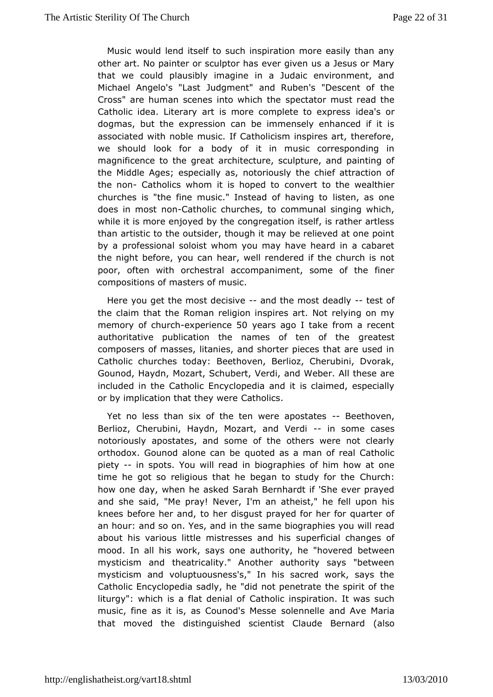Music would lend itself to such inspiration more easily than other art. No painter or sculptor has ever given us a Jesus o that weould plausibly imagine in a Judaic environment, ar Michael Angelo's J'uldagment" and Ruben's "Descent of the Cross" are human scenes intospot the spectation and the Catholic idea. Literary art is more compide a's ocexpress dogmas, but the expression can be immensely enhanced if associated with noble music. If Catholicism inspires art, the we shoullobok for a body of it in music corresponding in magnificence to the arcor heide cture, sculpture, and painting of the Middle Ages; especnathyriassly the chief attraction of the nonCatholics whom it is hopeweath to the wealthier churches is "the fine music." Insteadliofehavasgonoe does in most-Chaottholic churches, to communal singing which, while it is more enjoyed by the congregation itself, is rather thamartistic to the outsider, though it may be relieved at one by aprofessional soloist whom you may have heard in a caba the night beforecayno hear, well rendered if the church is not poor, often with orchestormapaniment, some of the finer compositions of masters of music.

Hereyou get the most decasside the most deated st of the claim that R to hean religion inspires art. Not relying on my memory of cheencopherien 50 years ago I take from a recent authoritative publication the names of gteatess the composers of masses, litanies, and shorter pieces that are u Catholic churches today: Beethoven, Berlioz, Cherubini, Dv Gounod, HayMozart, Schubert, Verdi, and Weber. All these ar included in the C Etthcoylc to pedia and it is claimed, especially or by implication that the ext hwo eires.

Yet no less than six of the ten were Bap obsolatens, Berlioz, Cherubini, Haydn, Mozart-,- iann dso Vreerdicases notoriousal postates, and some of the others were not clearl orthodox. Gounod alonequate beas a man of real Catholic piety- in spots. You will read in boibghriamphhiesw at one time he got so religious that he began to Cheutundhy: for the how one day, when he asked Sarah Bernhardt if 'She ever pr and sheaid, "Me pray! Never, I'm an atheist," he fell upon I knees before hertoarhoe, disgust prayed for her for quarter of an hour: and so on. Yes, as mach enbtiographies you will read about his various little mistressepeafridialischanges of mood. In all his work, says one authority ethneed in overed mysticism and theatricality." Another authority says "betw mysticismand voluptuousness's," In his sacred work, says the Catholic Encyclopediaes addildy, not penetrate the spirit of the liturgy": which is a flat Cathialicofinspiration. It was such music, fine as it is, as Counsodl's n Meelsleeand Ave Maria that moved the distinguished scientist Clause Bernard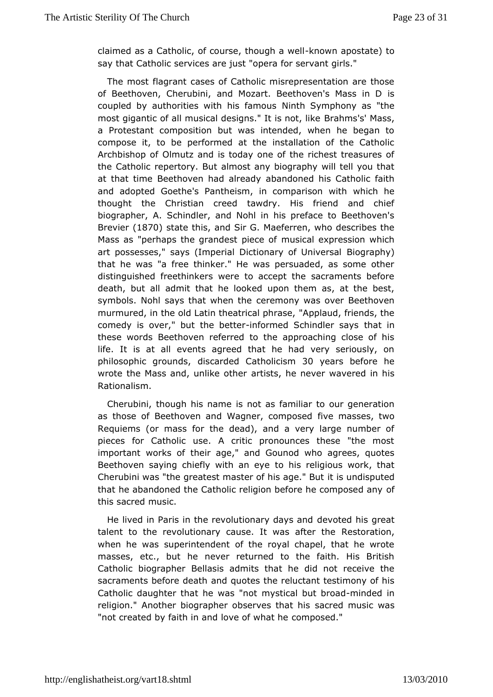claimed as a Catholic, of course, kinow on happoweed as a Catholic, of course, kinow on happoweard to saythat Catholic services are just "opera for servant girls."

The mostagrant cases of Catholic misrepresentation are tho of Beethoven, Cheraunbdin Mozart. Beethoven's Mass in D is coupled by authorities with hNishflam Sownsphony as "the most gigantic of all musical designs.Brathinsshsot,Mlake, a Protestant composition but was intended, when he begar compose it, to be performed at the installation of the Cat Archbishop O brfiutz and is today one of the richest treasures of the Catholic repertory of the stars biography will tell you that at that time Beethoven had baainel and wed his Catholic faith and adopted Goethe's Pantheism, in comparins one with thought the Christian creed tawdry. His friend and ch biographer, Sahindler, and Nohl in his preface to Beethoven' Breviel 870 state thas dSir G. Maeferren, who describes the Mass as "perhaps the grandesmtupiesebeox fpression which art possesses," says (Imperial DictionaByogfa $\psi$ hiv)ersal that he was "a free thinker." He was persuaded, as some o distinguished freethinkers were to accept the sacraments b death, but aad mit that he looked upon them as, at the best, symbols. Nohl says that we been the chease over Beethoven murmured, in the old Latin theatric paplaudas feriends, the comedy is over," but thenforemed Schindlerthsaaty is not in the state of the state of  $\sim$ these words Beethoven referred to the approaching close of life. lits at all events agreed that he had very seriously, philosophic growd is arded Cathol 30 is mears before he wrote the Mass and, unlicke ists, e the never wavered in his Rationalism.

Cherubini, though his snaomteas familiar to our generation as those of Beethoven and Wagnerf, iveommasses, two Requiems (or mass for the dead), and a very large number pieces for Catholic use. A critic pronounces these "the important worksheifr age," and Gounod who agrees, quotes Beethoven saying chiefly with ans expeligious work, that Cherubini was "the greatest master of thiis uangobi.s"p **Bued** that he abandoned the Catholic religion beforeohe composed and this sacred music.

He lived in Paris in the revolutionder wordendy shias not reat talent to the revolutionary cause. It Restartationhe when he was superintendent of the royal chapel, that he w masses, etc., but he never returned to the faith. His Bri Catholiccographer Bellasis admits that he did not receive the sacraments before adhedath otes the reluctant testimony of his Catholic daughter that he mwy assticant but broaded in religion." Another biographer obses acsed handubis was "not created by faith in and love oomfpwebed.he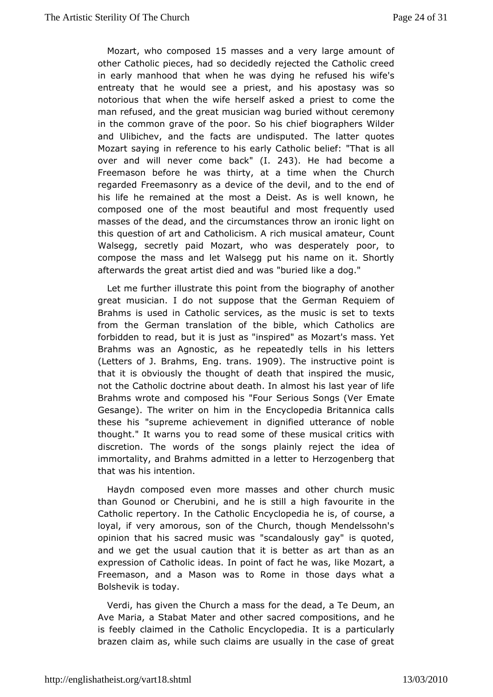Mozart who composte5d masses and a very large amount of otheCatholic pieces, had so decidedly rejected the Catholic a in early manhtohoad when he was dying he refused his wife's entreaty that he wouldpsies and his apostasy was so notorious that when the wife hersperlifesats ktod came the man refused, and the great musician wagcheueined nywithout in the common grave of the poor. So his chief biographers W and Ulibichev, and the facts are undisputed. The latter quo Mozart saying efiearence to his early Catholic belief: "That is a over and will never backed. 243. He had become a Freemason before he was thirty, at atheim Cehuwhchen regarded Freemasonry as a device of the devil, and to the e hislife he remained at the most a Deist. As is well known, composed one ofm blse beautiful and most frequently used masses of the dead, aird uthe stances throw an ironic light on this question of art and Cathiclic insumsic Aal amateur, Count Walsegg, secretly paid Mozart, who wapodespterately compose the mass and let Walsegg put his name on it. Sho afterwarthse great artist died and was "buried like a dog."

Let me furtih bustrate this point from the biography of anothe great musician. I dscuppootse that the German Requiem of Brahms is used in Catholic servincuessic as sheet to texts from the German translation of the bible, wahech Catholics forbidden to read, but it is just as "inspired" as Mozart's mast Brahmswas an Agnostic, as he repeatedly tells in his lette (Letters of J. Brahms, ans 1909. The instructive point is that it is obviously the thought that inspired the music, not the Catholic doctrine about deatilis. Ilanstalymenastof life Brahms wrote and composed his "Four Seribmsat Songs (Ver Gesange). The writer on him in the Encyclopedia Britannica these his upreme achievement in dignified utterance of nobl thought." It warns yeadtsome of these musical critics with discretion. The words of the baisnowng seject the idea of immortality, and Brahms admitted im eazbegte abelog that that was his intention.

Haydn composed even more a mod sostehser church music than Gounod or Cherubini, and he is a soultite hinghhe Catholic repertory. In the Catholic Encyctopuesiea he is, of loyal, if very amorous, son of the Church, though Mendelss opinion that his sacred music was "scandalously gay" is qu and we get **the unit unit in** that it is better as art than as ar expression of Catholilon ipdoeians. of fact he was, like Mozart, a Freemason, and a Mason was toth Rome edains what a Bolshevik is today.

Verdi, has given the Churdbrathmeassead, a Te Deum, an Ave Maria, a Stabat Mater and octohmepossaictroends, and he is feebly claimed in the Catholic Encycplopteididarlly is a brazen claim as, while such claims are usually in the case  $o<sup>†</sup>$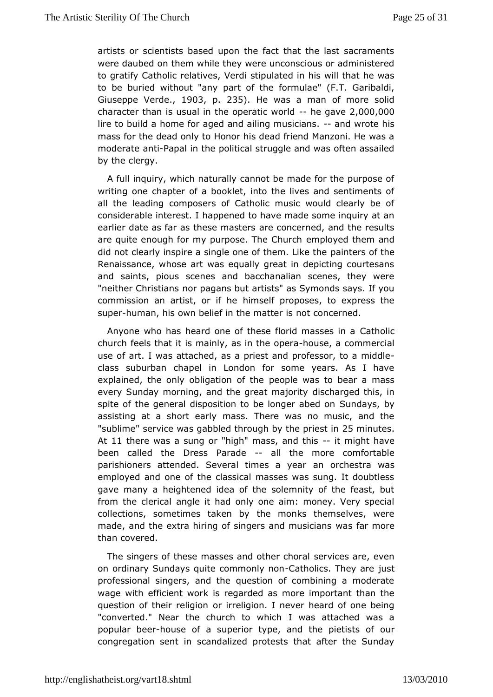artists or scientists based upon the fact that the last sacra were dauboerd them while they were unconscious or administere to gratify Catheolatives, Verdi stipulated in his will that he was to be buried withoubatanof the formulae" (F.T. Garibaldi, Giuseppe Verd \$03 p. 235. He was maan of more solid character than is usual in the opehaetigcaw $\Omega$  and  $\Omega$   $\Omega$   $\Omega$   $\Omega$ lire to build a home for aged and ailing not wo single nhais. mass for the dead only to Honor his dead friend Manzoni. He moderatent  $P$ apal in the political struggle and was often assail by thelergy.

A full inquiry, which naturally cannot be made for the purpo writing one chapter of a booklet, into the lives and sentimer all the eading composers of Catholic music would clearly be considerable interappehed to have made some inquiry at an earlier date as far as the seeremans the rest and the results are quite enough for my purpose. eThipeloGy be ulrethem and did not clearly inspire a single one of pahine the that id stearly inspire a single one of pahinetral id the the Renaissance, whose art was equally great in depicting court and saints, pious scenes and bacchanalian scenes, they "neither Chrismicarn pagans but artists" as Symonds says. If you commission an artist, whimistelife proposes, to express the  $sup$  ehuman, his own belief in the matter esned.

Anyone who has heard one of these florCdathoosisces in a church feels that it is mainly, a shion usibe a pocorramercial useof art. I was attached, as a priest and professor, to a mid class suburbana pel in London for some years. As I have explained, the only obligation polie twes to bear a mass every Sunday morning, and the gredas cmaiged ythis, in spite of the general disposition to be Soungdeary sabedy on assisting at a short early mass. There was no music, and " sublim service was gabbled through by 255 empirues bin At 11 therwas a sung or "high" mass,--and  $m$  that have been called the DPrærsasde-all the more comfortable parishioners attended. Several timanesonachyeesatra was employed and one of the classical masses was sung. It dout gave many a heightened idea of the solemnity of the feast, but from the cleraic gle it had only one aim: money. Very special collections, sometimes takenmbonks themselves, were made, and the extra hiring of singers wand frau smod aens than covered.

The singers of these masses and soethweicessh carrael, even on ordinary Sundays quite com@naotmhloylincsn The watre professional singers, and the question of combining a mode wage with ficient work is regarded as more important than the question of their roenliginionenligion. I never heard of one being "converted." Near the church I towawshiacthed was a popular behouse of a superior type, and the ouprietists of congregation sent in scandalized protests that after the Su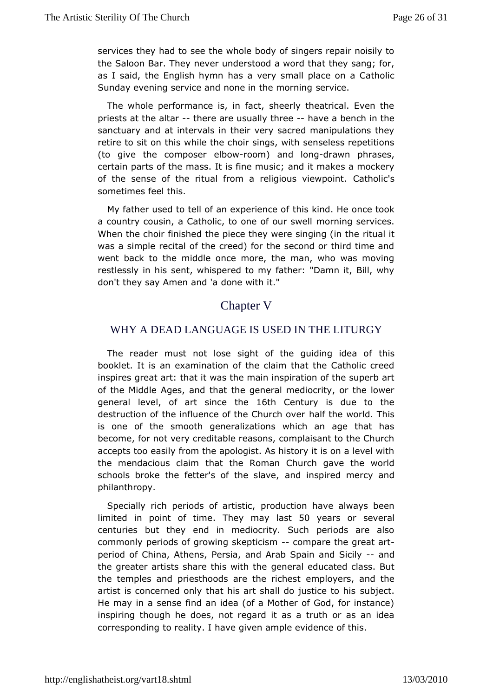servicebey had to see the whole body of singers repair noisil the Saloon Bar. nEwey understood a word that they sang; for, as I said, the English hymen has mall place on a Catholic Sunday evening service and none insetheigneorning

The whole performance is, in fact, sheerly theatrical. Even priests at the -athærre are usually thave a bench in the sanctuaaynd at intervals in their very sacred manipulations th retire to sit on this the choir sings, with senseless repetition (to give the comped bewoom) and lod may n phrases, certain parts of the mass. It is a hid it musikes a mockery of the sense of the ritual from a religioeshovliew spoint. sometimes feel this.

My father used to tell of an experit ince the once took a country cousin, a Catholic, to onencorfnionupr ssewrevlices. When the choir finished the piece they wermets and ging (in the was a simple recital of the creed) for the second or third tim went back to the middle once more, the man, who was mov restlessly insehrits, whispered to my father: "Damn it, Bill, why don't they say Amend ame 'waith it."

## Chapter V

### WHY A DEAD LANGUAGE IS USED IN THE LITURGY

The reader must not lose sight of the guindsing idea of booklet. It is an examination of the claim that the Catholic inspires eat art: that it was the main inspiration of the superb of the Mid diges, and that the general mediocrity, or the lowe general level, of artthsein ot Century is due to the destruction of the influence of the half tuthceh worlend. This is one of the smooth generalizations which an age that become, for not very creditable reasons, complaisant to the C accepts teo acsily from the apologist. As history it is on a level with the mendacious chaaitm the Roman Church gave the world schools broke the fetter's of athole isnlsapviered mercy and philanthropy.

Specially rich periods oproduction have always been limited in point of Thienye may la5s0tyears os reveral centuries but they end in mediocrity. Such periods are  $i$ commonloye riods of growing skep otomispmare the gre-at art period of China, A Pleessisa, and Arab Spain and n Solicily the greater artists share thigsenweith the ducated class. But the temples and priesthoods are ethployehostand the artist is concerned only that his art shall subtenextice to his He may in a sense find an idea (of a Mother of God, for inst inspiring though he does, not regard it as a truth or as an correspondtion geality. I have given ample evidence of this.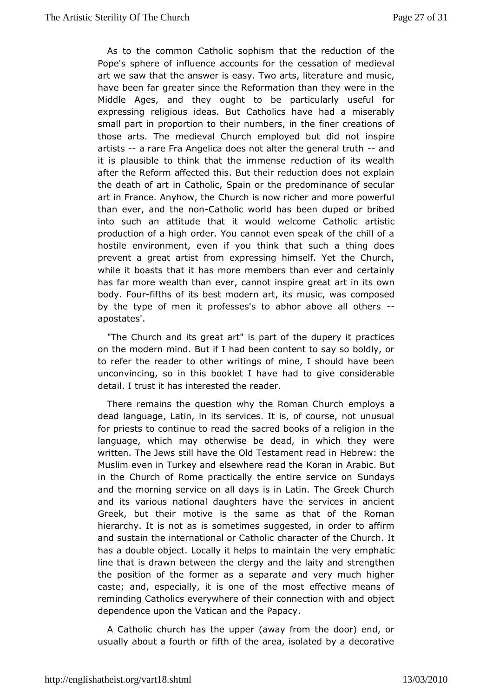As to the common Cathodlism that the reduction of the Pope's sphere of influence accoments atount the medieval art we saw that the answer is easy. Two and tsmulstic gature have been far greater since the Reformation than they were in Middle Ages, and they ought to be particularly useful expressing religdeas. But Catholics have had a miserably small part in proportionnumbes, in the finer creations of those arts. The medieval Church emotion and imustpire artistsa rare Fra Angelica does not alter the amederal truth it is plausible to think that the immense reduction of its w aftethe Reform affected this. But their reduction does not exp the death ofimarCatholic, Spain or the predominance of secula art in France. Anyh Chuutch is now richer and more powerful than ever, and the antibolic world behas duped or bribed into such an attitude that it would welcan misti $\mathcal C$  atholic production of a high order. You cannot even speak of the chi hostile environment, even if you think that such a thing d prevent a græratist from expressing himself. Yet the Church, while it boasts that it has mothere than ever and certainly has far more wealth than ever, cannee att innestine its own body. Fefurths of its best modern art, its communsionsedwas by the type of men it professes's to abhor above all other apostates'.

"The Church and its great art" is part optratoeicobuspery it on the modern mind. But if I had been content to say so bold torefer the reader to other writings of mine, I should have t unconvincing ins this booklet I have had to give considerable detail. I trust intheasted the reader.

There remains the question why the Romman Church dead language, Latin, in its services. It is, of course, not u for priests to continue to read the sacred books of a religion languagew, hich may otherwise be dead, in which they were written. The Jews still Chadve Tetsteament read in Hebrew: the Muslim even in Turkey and elsewh **Keoeane and Alhaebic.** But in the Church of Rome practically the ensturred as pervice on and the morning service on all days is in Latin. The Greek C andits various national daughters have the services in anc Greek, but theotive is the same as that of the Roman hierarchy. It is not as is ssoung geismted, in order to affirm and sustain the international cohra Caactibeorlic cf the Church. It has a double object. Locally it helps beto emplie the phatic line that is drawn between the clergy ansdrue megthat in and the position of the former as a separate and very much higher casteand, especially, it is one of the most effective means reminding Catheowlecrywhere of their connection with and object dependence upon the Vatticen Papacy.

A Catholic church has the upper (away from the door) end usually about a fourth or fifth of the area, isolated by a decoration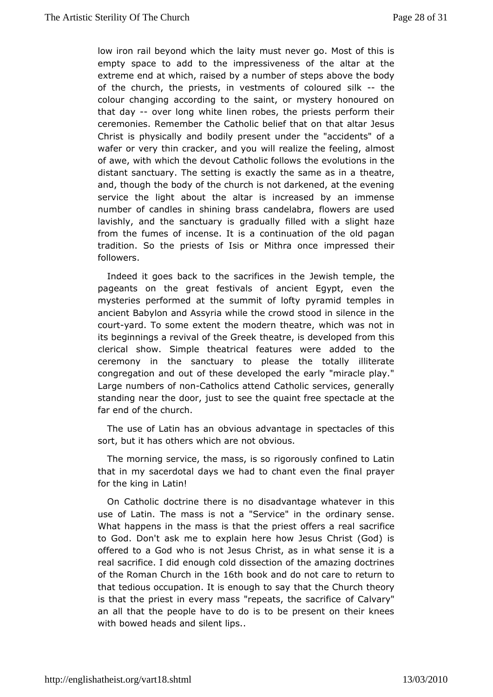low ironrail beyond which the laity must never go. Most of this empty space to addetompressiveness of the altar at the extreme end at which, raised bot as neuposibabove the body of the church, the priests, in vestments  $\mathbf{s}$  ille-the element colour changing according to the saint, or mystery honoure thatday-- over long white linen robes, the priests perform the ceremonieRsemember the Catholic belief that on that altar Jes Christ is physicalbodind present under the "accidents" of a wafer or very thin cracker widh depedize the feeling, almost of awe, with which the devout Catthelievfollltiwss in the distant sanctuary. The setting is exactly time  $\alpha$  as in a and, though the body of the church is not darkened, at the ev service the light about the altar is increased by an imme number of canichlesshining brass candelabra, flowers are used lavishly, and the sancguad wailsy filled with a slight haze from the fumes of incense.ontinsuation of the old pagan tradition. So the priests of Isis or in Mithes and the eir followers.

Indeed it goes back to the sacrifice weishintet the Jele, the pageants on the great festivals of ancient Egypt, even mysteries performed at the summit of lofty pyramid temples ancient Babahoch Assyria while the crowd stood in silence in th courtard. To some ethenthodern theatre, which was not in its beginnings a revival of the at Gereek developed from this clerical show. Simple theatrical featuldneeds tweenthe ceremony in the sanctuary to please the totally illiter congregation and out of these developed the early "miracle p Large numbers no Catholics attend Catholic services, generally standing near the idsoto to see the quaint free spectacle at the far end of the church.

Theuse of Latin has an obvious advantage in spectacles of sort, but it orthers which are not obvious.

The morning service, the massimals as confined to Latin that in my sacerdotal days we had to cfriant proporthe for the king in Latin!

On Catholic doctrine thedries aids van otage whatever in this use of Latin. The mass is not a "Seorndionea" ryinselinese. What happens in the mass is that the priessat confficeres a real to God. Don't ask me to explain here how Jesus Christ (Go offeretob a God who is not Jesus Christ, as in what sense it real sacrifice.ehodugh cold dissection of the amazing doctrines of the Roman Church 6th blook and do not care to return to that tedious occupation. It is enthant the Ghurch theory is that the priest in every mass "repeatosf, Cthane valay "rifice" an all that the people have to do is to be present on their  $\mathsf{I}$ with bowed heads and silent lips..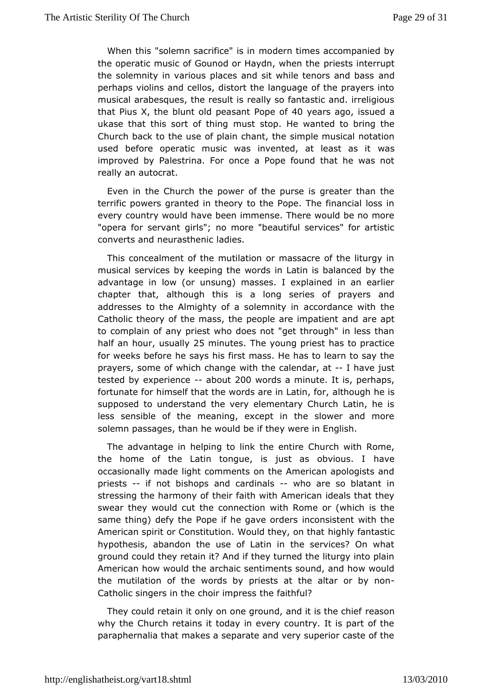When this "solemn sacrifmoed" ein thimes accompanied by the operatic music of Gounod or Haypdrne swibs eimite hreaupt the solemnity in various places and sit while and hors and bas perhaps violins and cellos, distort the language of the prave musical rabesques, the result is really so fantastic and. irreligious that Pius X, bibet old peasant P40 pee of sagosued a ukase that this sort on ustrins gop. He wanted to bring the Church back to the use of plainsion hodest muniseeral notation used before operatic music was invented, waasleast as it improved by Palestrina. For once a Pope found that he was really **an** to crat.

Even in the Church the power of the purse is greater than terrific powers granted in theory to the Pope. The financial ever country would have been immense. There would be no mo "opera for sergyiants"; no more "beautiful services" for artistic converts and neura stable ensic

This concealment of the mutilation or massacre of the litur musical services by keeping the words in Latin is balanced t advantage low (or unsung) masses. I explained in an earlie chapter that, although athisonis series of prayers and addresses to the Almighty of a saccloeomoliating cen with the Catholic theory of the mass, the people areer eimappettient and to complain of any priest who does not "get through" in less halfan houusuall2y5 minute The young priest has to practice for weeks behereays his first mass. He has to learn to say the prayers, some of which with the calendar, have just tested by experieabou200 words mainute. It is, perhaps, fortunate for himself that the words arealthough and inherics . supposed to understand the very elementary Church Latin, h less sensible of the meaning, except in the slower and  $m$ solemn passatcheas, he would be if they were in English.

The advantage in helpingh to entimike Church with Rome, the home of the Latin tongue, is just as a voebvious. I occasionally made light comments on the American apologists priests- if not bishops and cardwihalsare so blatant in stressing the harm to hey irofaith with American ideals that they swear they would cut the cownithed Roome or (which is the same thing) defy the Pope if he ignacoen scisdenst with the American spirit or Constitution. Would ightely, fantalsatic hypothesis, abandon the use of Latin in the services? On ground could they retain it? And if they turned the liturgy into American would the archaic sentiments sound, and how would the mutilation ofwothdes by priests at the altar-or by non Catholic singers in the chothreif map the faul?

They could retain it only on one ground, ane daibnis the chief why the Church retains it today in every country. It is part of paraphernalia that makes a separate and very superior caste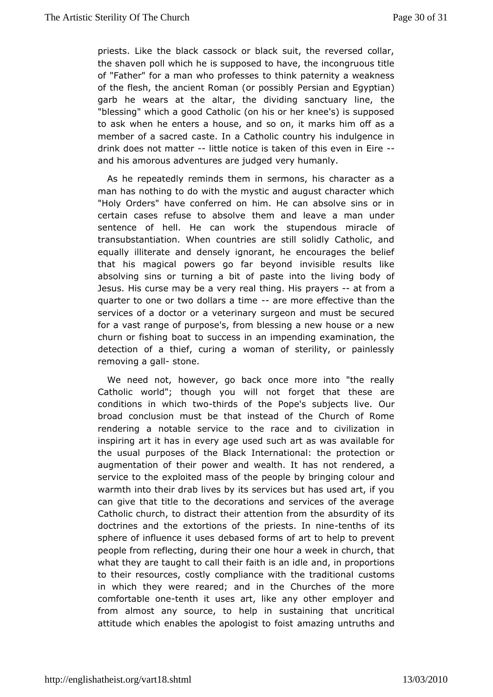priests. Luke black cassock or black suit, the reversed collar the shaven poll whiscls upposed to have, the incongruous title of "Father" for a man who toordheins the paternity a weakness of the flesh, the ancient Roman  $H$ ersians sabby Egyptian) garb he wears at the altar, the dividing shectuary line, "blessing" which a good Catholic (on his or her knee's) is sup to aswhen he enters a house, and so on, it marks him off as member of a saccarete. In a Catholic country his indulgence in drink does not matient actice is taken of this even in Eire and his amorous adventures are yjuhdug mead nly.

As he repeatedly reminds them in sermons, his character  $\alpha$ man has nothing to do with the mystic and august character v "Holy Ordema Ve conferred on him. He can absolve sins or in certain cases refuse to the bosola med leave a man under sentence of hell. He can work the stupendous miracle transubstantiation. When countries are still solidly Catholic equally literate and densely ignorant, he encourages the be that his magiccawers go far beyond invisible results like absolving sins or turning pasbet into the living body of Jesus. His curse may be a very ropatay the gat fflnism a quarter to one or two dollarsarae trimotee effecthiavre the services of a doctor or a veterinary surgeon and must be se for avast range of purpose's, from blessing a new house or a churn or fisboract to success in an impending examination, the detection of a thief, cwoman a a sterility, or painlessly  $r$ emoving a -  $ds$  blne.

We need noto, wever, go back once more into "the really Catholic world"; though you fwindletnothat these are conditions in which thirds of the Pope's slubejec $\Phi$ sur broad conclusion must be that instead of the Church of R renderina notable service to the race and to civilization inspiring art it baerynage used such art as was available for the usual purposes of the terractional: the protection or augmentation of their power and wenadthrehtdehraesd, a service to the exploited mass of the people bay a dringing colour warmth into their drab lives by its services but has used art, cangive that title to the decorations and services of the ave Catholic chutroch, is tract their attention from the absurdity of it doctrines and exhiertions of the priests tehn him of its sphere of influence die blasseesd forms of art to help to prevent people from reflecting, during outrear wone he in church, that what they are taught to call their faamidh, is a apmoipdoletions to their resources, costly compliance with the unstanditional in which they were reared; and in the Churches of the m comfortabdeetenth it uses art, like any other employer and from almost any sourbelpton sustaining that uncritical attitude which enables the apoloagmist though fountuths and